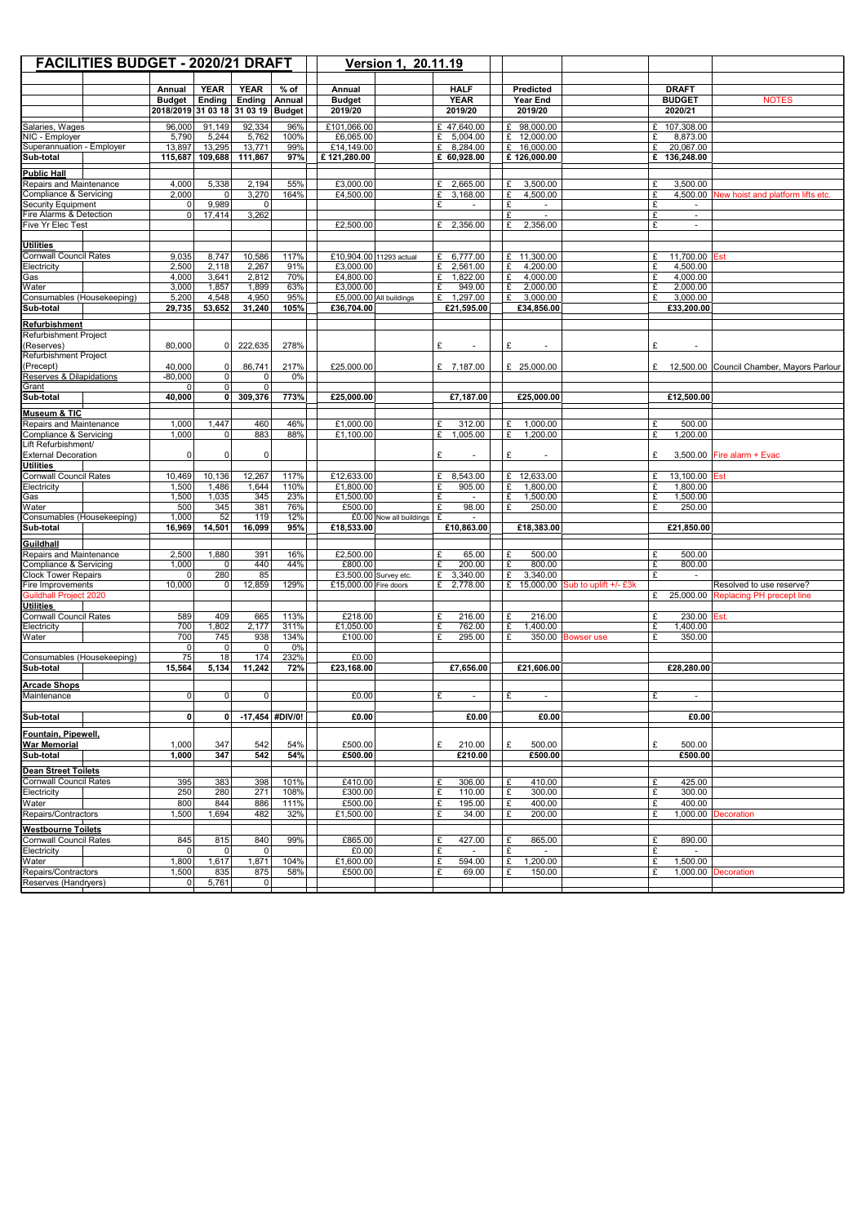| <b>FACILITIES BUDGET - 2020/21 DRAFT</b>                       |                             |                      |                       |                  |                                  | Version 1, 20.11.19                                     |                              |                                |                                 |                                    |                                            |
|----------------------------------------------------------------|-----------------------------|----------------------|-----------------------|------------------|----------------------------------|---------------------------------------------------------|------------------------------|--------------------------------|---------------------------------|------------------------------------|--------------------------------------------|
|                                                                | Annual                      | <b>YEAR</b>          | <b>YEAR</b>           | $%$ of           | Annual                           |                                                         | <b>HALF</b>                  | <b>Predicted</b>               |                                 | <b>DRAFT</b>                       |                                            |
|                                                                | <b>Budget</b>               | <b>Ending</b>        | <b>Ending</b>         | Annual           | <b>Budget</b>                    |                                                         | <b>YEAR</b>                  | <b>Year End</b>                |                                 | <b>BUDGET</b>                      | <b>NOTES</b>                               |
|                                                                | 2018/2019 31 03 18 31 03 19 |                      |                       | <b>Budget</b>    | 2019/20                          |                                                         | 2019/20                      | 2019/20                        |                                 | 2020/21                            |                                            |
| Salaries, Wages                                                | 96,000                      | 91,149               | 92,334                | 96%              | £101,066.00                      |                                                         | £ 47,640.00                  | £ 98,000.00                    |                                 | 107,308.00<br>£                    |                                            |
| NIC - Employer                                                 | 5,790                       | 5,244                | 5,762                 | 100%             | £6,065.00                        |                                                         | £ $5,004.00$                 | £ 12,000.00                    |                                 | £<br>8,873.00                      |                                            |
| Superannuation - Employer                                      | 13,897                      | 13,295               | 13,771                | 99%              | £14,149.00                       |                                                         | £<br>8,284.00                | 16,000.00<br>£                 |                                 | £<br>20,067.00                     |                                            |
| Sub-total                                                      | 115,687                     | 109,688              | 111,867               | 97%              | £121,280.00                      |                                                         | £ 60,928.00                  | £126,000.00                    |                                 | £<br>136,248.00                    |                                            |
| <b>Public Hall</b>                                             |                             |                      |                       |                  |                                  |                                                         |                              |                                |                                 |                                    |                                            |
| Repairs and Maintenance                                        | 4,000                       | 5,338                | 2,194                 | 55%              | £3,000.00                        |                                                         | 2,665.00<br>£                | £<br>3,500.00                  |                                 | £<br>3,500.00                      |                                            |
| <b>Compliance &amp; Servicing</b><br><b>Security Equipment</b> | 2,000<br>$\Omega$           | $\Omega$<br>9,989    | 3,270<br>$\mathbf{0}$ | 164%             | £4,500.00                        |                                                         | £<br>3,168.00<br>£           | £<br>4,500.00<br>£             |                                 | £<br>£<br>$\overline{\phantom{a}}$ | 4,500.00 New hoist and platform lifts etc. |
| Fire Alarms & Detection                                        | $\Omega$                    | 17,414               | 3,262                 |                  |                                  |                                                         |                              | £<br>$\sim$                    |                                 | £<br>$\sim$                        |                                            |
| Five Yr Elec Test                                              |                             |                      |                       |                  | £2,500.00                        |                                                         | £ 2,356.00                   | £<br>2,356.00                  |                                 | £<br>$\overline{\phantom{a}}$      |                                            |
|                                                                |                             |                      |                       |                  |                                  |                                                         |                              |                                |                                 |                                    |                                            |
| <b>Utilities</b><br><b>Cornwall Council Rates</b>              | 9,035                       | 8,747                | 10,586                | 117%             | £10,904.00 11293 actual          |                                                         | 6,777.00<br>£                | £ 11,300.00                    |                                 | 11,700.00<br>£                     | lEst                                       |
| Electricity                                                    | 2,500                       | 2,118                | 2,267                 | 91%              | £3,000.00                        |                                                         | £<br>2,561.00                | £<br>4,200.00                  |                                 | £<br>4,500.00                      |                                            |
| Gas                                                            | 4,000                       | 3,641                | 2,812                 | 70%              | £4,800.00                        |                                                         | £<br>1,822.00                | £<br>4,000.00                  |                                 | £<br>4,000.00                      |                                            |
| Water                                                          | 3,000                       | 1,857                | 1,899                 | 63%              | £3,000.00                        |                                                         | 949.00<br>£                  | 2,000.00<br>£                  |                                 | £<br>2,000.00                      |                                            |
| Consumables (Housekeeping)                                     | 5,200                       | 4,548                | 4,950                 | 95%              | £5,000.00 All buildings          |                                                         | 1,297.00<br>£                | 3,000.00<br>£                  |                                 | £<br>3,000.00                      |                                            |
| Sub-total                                                      | 29,735                      | 53,652               | 31,240                | 105%             | £36,704.00                       |                                                         | £21,595.00                   | £34,856.00                     |                                 | £33,200.00                         |                                            |
| <b>Refurbishment</b>                                           |                             |                      |                       |                  |                                  |                                                         |                              |                                |                                 |                                    |                                            |
| Refurbishment Project<br>(Reserves)                            | 80.000                      | $\Omega$             | 222,635               | 278%             |                                  |                                                         | £<br>$\tilde{\phantom{a}}$   | £                              |                                 | £                                  |                                            |
| Refurbishment Project                                          |                             |                      |                       |                  |                                  |                                                         |                              |                                |                                 |                                    |                                            |
| (Precept)                                                      | 40,000                      | $\Omega$             | 86,741                | 217%             | £25,000.00                       |                                                         | £ 7,187.00                   | £ 25,000.00                    |                                 | £                                  | 12,500.00 Council Chamber, Mayors Parlour  |
| <b>Reserves &amp; Dilapidations</b>                            | $-80,000$                   | $\Omega$             | $\Omega$              | 0%               |                                  |                                                         |                              |                                |                                 |                                    |                                            |
| Grant                                                          | U                           | $\Omega$<br>$\Omega$ | $\mathbf{0}$          | 773%             |                                  |                                                         |                              |                                |                                 |                                    |                                            |
| Sub-total                                                      | 40,000                      |                      | 309,376               |                  | £25,000.00                       |                                                         | £7,187.00                    | £25,000.00                     |                                 | £12,500.00                         |                                            |
| Museum & TIC                                                   |                             |                      |                       |                  |                                  |                                                         |                              |                                |                                 |                                    |                                            |
| Repairs and Maintenance<br><b>Compliance &amp; Servicing</b>   | 1,000<br>1,000              | 1,447<br>$\Omega$    | 460<br>883            | 46%<br>88%       | £1,000.00<br>£1,100.00           |                                                         | 312.00<br>£<br>£<br>1,005.00 | £<br>1,000.00<br>£<br>1,200.00 |                                 | £<br>500.00<br>£<br>1,200.00       |                                            |
| Lift Refurbishment/                                            |                             |                      |                       |                  |                                  |                                                         |                              |                                |                                 |                                    |                                            |
| <b>External Decoration</b>                                     | $\Omega$                    | $\Omega$             | $\mathbf{0}$          |                  |                                  |                                                         | £<br>$\tilde{\phantom{a}}$   | £                              |                                 | £                                  | $3,500.00$ Fire alarm + Evac               |
| <b>Utilities</b>                                               |                             |                      |                       |                  |                                  |                                                         |                              |                                |                                 |                                    |                                            |
| <b>Cornwall Council Rates</b>                                  | 10,469                      | 10,136               | 12,267                | 117%             | £12,633.00                       |                                                         | £<br>8,543.00                | £ 12,633.00                    |                                 | £<br>13,100.00                     | Est                                        |
| Electricity<br>Gas                                             | 1,500<br>1,500              | 1,486<br>1,035       | 1,644<br>345          | 110%<br>23%      | £1,800.00<br>£1,500.00           |                                                         | £<br>905.00<br>£             | £<br>1,800.00<br>£<br>1,500.00 |                                 | £<br>1,800.00<br>1,500.00<br>£     |                                            |
| Water                                                          | 500                         | 345                  | 381                   | 76%              | £500.00                          |                                                         | $\mathbf{c}$<br>98.00        | £<br>250.00                    |                                 | £<br>250.00                        |                                            |
| Consumables (Housekeeping)                                     | 1,000                       | 52                   | 119                   | 12%              |                                  | $\text{\pounds}0.00$ Now all buildings $\text{\pounds}$ | $\sim$                       |                                |                                 |                                    |                                            |
| Sub-total                                                      | 16,969                      | 14,501               | 16,099                | 95%              | £18,533.00                       |                                                         | E10,863.00                   | £18,383.00                     |                                 | £21.850.00                         |                                            |
| Guildhall                                                      |                             |                      |                       |                  |                                  |                                                         |                              |                                |                                 |                                    |                                            |
| Repairs and Maintenance                                        | 2,500                       | 1,880                | 391                   | 16%              | E2,500.00                        |                                                         | £<br>65.00                   | 500.00<br>£                    |                                 | 500.00<br>£                        |                                            |
| Compliance & Servicing<br><b>Clock Tower Repairs</b>           | 1,000<br>$\overline{0}$     | 0 <br>280            | 440<br>85             | 44%              | £800.00<br>£3,500.00 Survey etc. |                                                         | £<br>200.00<br>£<br>3,340.00 | £<br>800.00<br>£<br>3,340.00   |                                 | £<br>800.00<br>£<br>$\mathbf{r}$   |                                            |
| Fire Improvements                                              | 10,000                      | $\Omega$             | 12,859                | 129%             | £15,000.00 Fire doors            |                                                         | 2,778.00<br>£                | £                              | 15,000.00 Sub to uplift +/- £3k |                                    | Resolved to use reserve?                   |
| <b>Guildhall Project 2020</b>                                  |                             |                      |                       |                  |                                  |                                                         |                              |                                |                                 | £                                  | 25,000.00 Replacing PH precept line        |
| <b>Utilities</b>                                               |                             |                      |                       |                  |                                  |                                                         |                              |                                |                                 |                                    |                                            |
| <b>Cornwall Council Rates</b>                                  | 589                         | 409                  | 665                   | 113%             | £218.00                          |                                                         | 216.00<br>£                  | £<br>216.00                    |                                 | £<br>230.00 Est.                   |                                            |
| Electricity<br>Water                                           | 700<br>700                  | 1,802<br>745         | 2,177<br>938          | 311%<br>134%     | £1,050.00<br>£100.00             |                                                         | £<br>762.00<br>£<br>295.00   | £<br>1,400.00<br>£             | 350.00 Bowser use               | £<br>1,400.00<br>£<br>350.00       |                                            |
|                                                                | -Ol                         | 0                    | $\Omega$              | $\overline{0\%}$ |                                  |                                                         |                              |                                |                                 |                                    |                                            |
| Consumables (Housekeeping)                                     | 75                          | $\overline{18}$      | 174                   | 232%             | E0.00                            |                                                         |                              |                                |                                 |                                    |                                            |
| Sub-total                                                      | 15,564                      | 5,134                | 11,242                | 72%              | £23,168.00                       |                                                         | £7,656.00                    | £21,606.00                     |                                 | £28,280.00                         |                                            |
| <b>Arcade Shops</b>                                            |                             |                      |                       |                  |                                  |                                                         |                              |                                |                                 |                                    |                                            |
| Maintenance                                                    | $\Omega$                    | $\Omega$             | $\Omega$              |                  | £0.00                            |                                                         | £<br>$\sim$                  | £<br>$\sim$                    |                                 | £<br>$\sim$                        |                                            |
|                                                                | 0                           | ΩI                   |                       | -17,454 #DIV/0!  |                                  |                                                         | £0.00                        | £0.00                          |                                 | £0.00                              |                                            |
| Sub-total                                                      |                             |                      |                       |                  | £0.00                            |                                                         |                              |                                |                                 |                                    |                                            |
| Fountain, Pipewell,                                            |                             |                      |                       |                  |                                  |                                                         |                              |                                |                                 |                                    |                                            |
| <b>War Memorial</b><br>Sub-total                               | 1,000<br>1,000              | 347<br>347           | 542<br>542            | 54%<br>54%       | £500.00<br>£500.00               |                                                         | £<br>210.00<br>£210.00       | £<br>500.00<br>£500.00         |                                 | £<br>500.00<br>£500.00             |                                            |
|                                                                |                             |                      |                       |                  |                                  |                                                         |                              |                                |                                 |                                    |                                            |
| <b>Dean Street Toilets</b>                                     |                             |                      |                       |                  |                                  |                                                         |                              |                                |                                 |                                    |                                            |
| <b>Cornwall Council Rates</b><br>Electricity                   | 395<br>250                  | 383<br>280           | 398<br>271            | 101%<br>108%     | E410.00<br>£300.00               |                                                         | £<br>306.00<br>£<br>110.00   | £<br>410.00<br>£<br>300.00     |                                 | £<br>425.00<br>£<br>300.00         |                                            |
| Water                                                          | 800                         | 844                  | 886                   | 111%             | £500.00                          |                                                         | £<br>195.00                  | £<br>400.00                    |                                 | £<br>400.00                        |                                            |
| Repairs/Contractors                                            | 1,500                       | 1,694                | 482                   | 32%              | £1,500.00                        |                                                         | £<br>34.00                   | £<br>200.00                    |                                 | £                                  | 1,000.00 Decoration                        |
| <b>Westbourne Toilets</b>                                      |                             |                      |                       |                  |                                  |                                                         |                              |                                |                                 |                                    |                                            |
| <b>Cornwall Council Rates</b>                                  | 845                         | 815                  | 840                   | 99%              | £865.00                          |                                                         | £<br>427.00                  | 865.00<br>£                    |                                 | £<br>890.00                        |                                            |
| Electricity                                                    | $\Omega$                    | $\Omega$             | $\Omega$              |                  | £0.00                            |                                                         | £<br>$\sim$                  | £<br>$\sim$                    |                                 | £<br>$\sim$                        |                                            |
| Water                                                          | 1,800                       | 1,617                | 1,871                 | 104%             | £1,600.00                        |                                                         | £<br>594.00                  | £<br>1,200.00                  |                                 | £<br>1,500.00                      |                                            |
| Repairs/Contractors                                            | 1,500                       | 835                  | 875                   | 58%              | £500.00                          |                                                         | £<br>69.00                   | £<br>150.00                    |                                 | £                                  | 1,000.00 Decoration                        |
| Reserves (Handryers)                                           | 01                          | 5,761                | $\overline{0}$        |                  |                                  |                                                         |                              |                                |                                 |                                    |                                            |